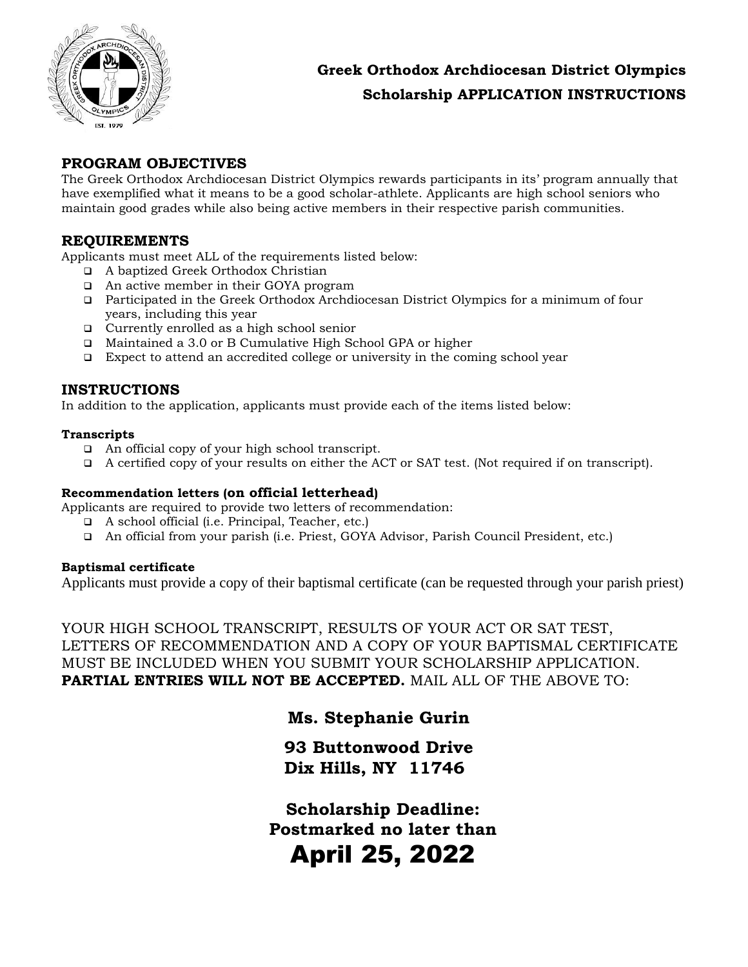

# **Greek Orthodox Archdiocesan District Olympics Scholarship APPLICATION INSTRUCTIONS**

## **PROGRAM OBJECTIVES**

The Greek Orthodox Archdiocesan District Olympics rewards participants in its' program annually that have exemplified what it means to be a good scholar-athlete. Applicants are high school seniors who maintain good grades while also being active members in their respective parish communities.

## **REQUIREMENTS**

Applicants must meet ALL of the requirements listed below:

- A baptized Greek Orthodox Christian
- □ An active member in their GOYA program
- Participated in the Greek Orthodox Archdiocesan District Olympics for a minimum of four years, including this year
- Currently enrolled as a high school senior
- Maintained a 3.0 or B Cumulative High School GPA or higher
- Expect to attend an accredited college or university in the coming school year

## **INSTRUCTIONS**

In addition to the application, applicants must provide each of the items listed below:

#### **Transcripts**

- An official copy of your high school transcript.
- A certified copy of your results on either the ACT or SAT test. (Not required if on transcript).

## **Recommendation letters (on official letterhead)**

Applicants are required to provide two letters of recommendation:

- A school official (i.e. Principal, Teacher, etc.)
- An official from your parish (i.e. Priest, GOYA Advisor, Parish Council President, etc.)

#### **Baptismal certificate**

Applicants must provide a copy of their baptismal certificate (can be requested through your parish priest)

YOUR HIGH SCHOOL TRANSCRIPT, RESULTS OF YOUR ACT OR SAT TEST, LETTERS OF RECOMMENDATION AND A COPY OF YOUR BAPTISMAL CERTIFICATE MUST BE INCLUDED WHEN YOU SUBMIT YOUR SCHOLARSHIP APPLICATION. **PARTIAL ENTRIES WILL NOT BE ACCEPTED.** MAIL ALL OF THE ABOVE TO:

# **Ms. Stephanie Gurin**

**93 Buttonwood Drive Dix Hills, NY 11746**

**Scholarship Deadline: Postmarked no later than**  April 25, 2022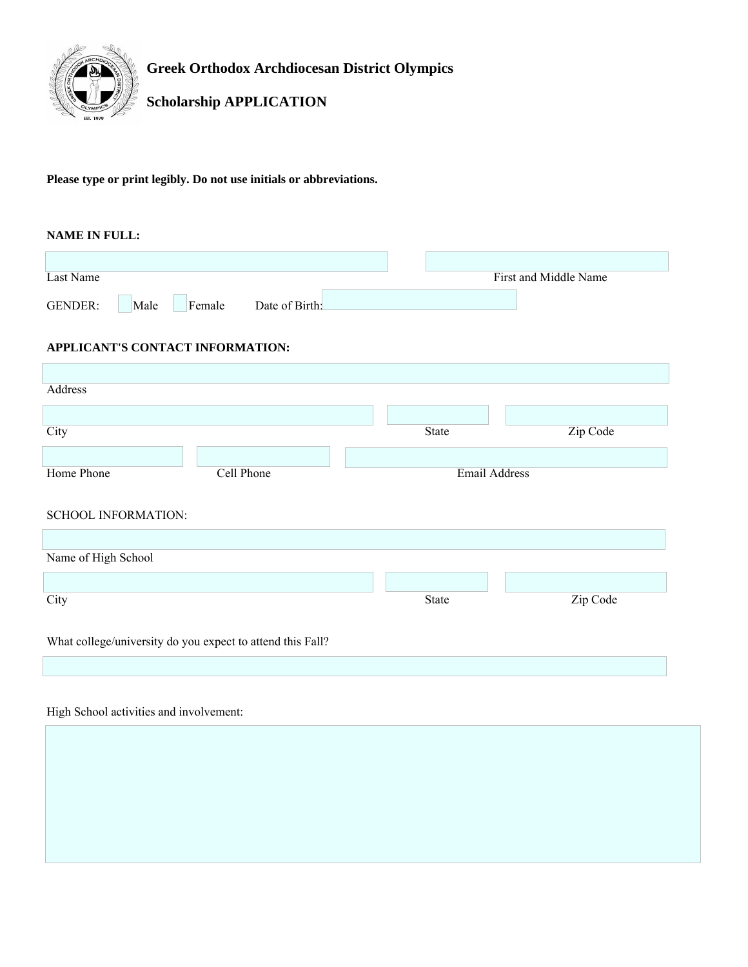

**Greek Orthodox Archdiocesan District Olympics**

# **Scholarship APPLICATION**

#### **Please type or print legibly. Do not use initials or abbreviations.**

#### **NAME IN FULL:**

| Last Name      |      |        |               |  | First and Middle Name |  |
|----------------|------|--------|---------------|--|-----------------------|--|
| <b>GENDER:</b> | Male | Female | Date of Birth |  |                       |  |

#### **APPLICANT'S CONTACT INFORMATION:**

| Address                                                    |            |  |                      |          |  |  |
|------------------------------------------------------------|------------|--|----------------------|----------|--|--|
|                                                            |            |  |                      |          |  |  |
| City                                                       |            |  | State                | Zip Code |  |  |
|                                                            |            |  |                      |          |  |  |
| Home Phone                                                 | Cell Phone |  | <b>Email Address</b> |          |  |  |
|                                                            |            |  |                      |          |  |  |
| <b>SCHOOL INFORMATION:</b>                                 |            |  |                      |          |  |  |
|                                                            |            |  |                      |          |  |  |
| Name of High School                                        |            |  |                      |          |  |  |
|                                                            |            |  |                      |          |  |  |
| City                                                       |            |  | <b>State</b>         | Zip Code |  |  |
|                                                            |            |  |                      |          |  |  |
| What college/university do you expect to attend this Fall? |            |  |                      |          |  |  |
|                                                            |            |  |                      |          |  |  |
|                                                            |            |  |                      |          |  |  |

# High School activities and involvement: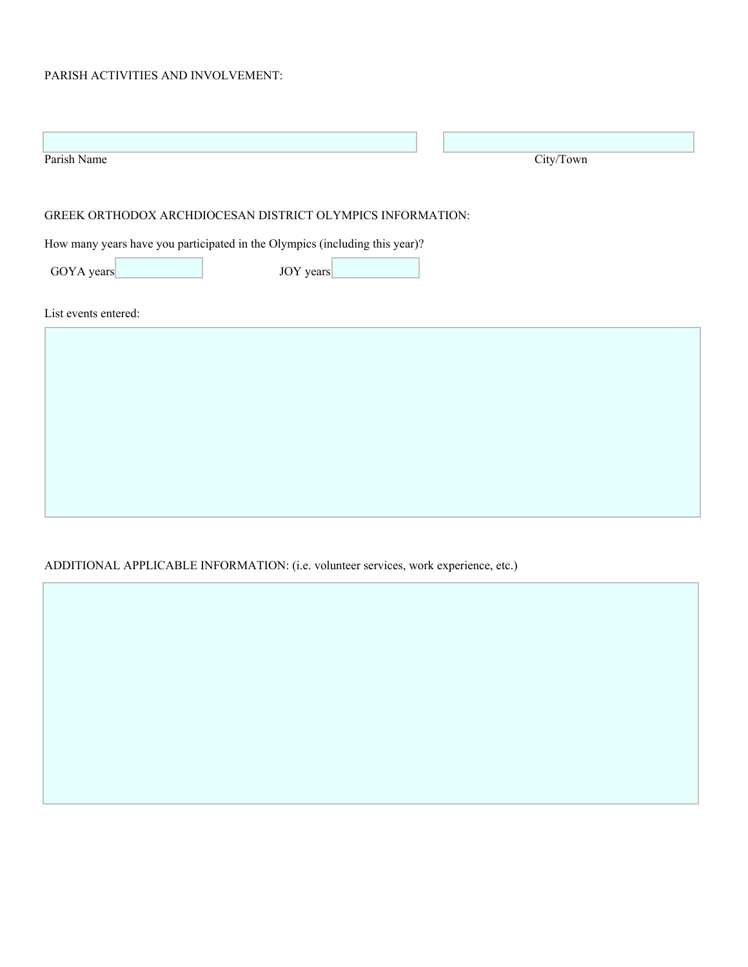## PARISH ACTIVITIES AND INVOLVEMENT:

| Parish Name                                                                                                                               |           | City/Town |  |  |  |
|-------------------------------------------------------------------------------------------------------------------------------------------|-----------|-----------|--|--|--|
| GREEK ORTHODOX ARCHDIOCESAN DISTRICT OLYMPICS INFORMATION:<br>How many years have you participated in the Olympics (including this year)? |           |           |  |  |  |
| GOYA years                                                                                                                                | JOY years |           |  |  |  |
| List events entered:                                                                                                                      |           |           |  |  |  |
|                                                                                                                                           |           |           |  |  |  |
|                                                                                                                                           |           |           |  |  |  |
|                                                                                                                                           |           |           |  |  |  |
|                                                                                                                                           |           |           |  |  |  |
|                                                                                                                                           |           |           |  |  |  |

# ADDITIONAL APPLICABLE INFORMATION: (i.e. volunteer services, work experience, etc.)